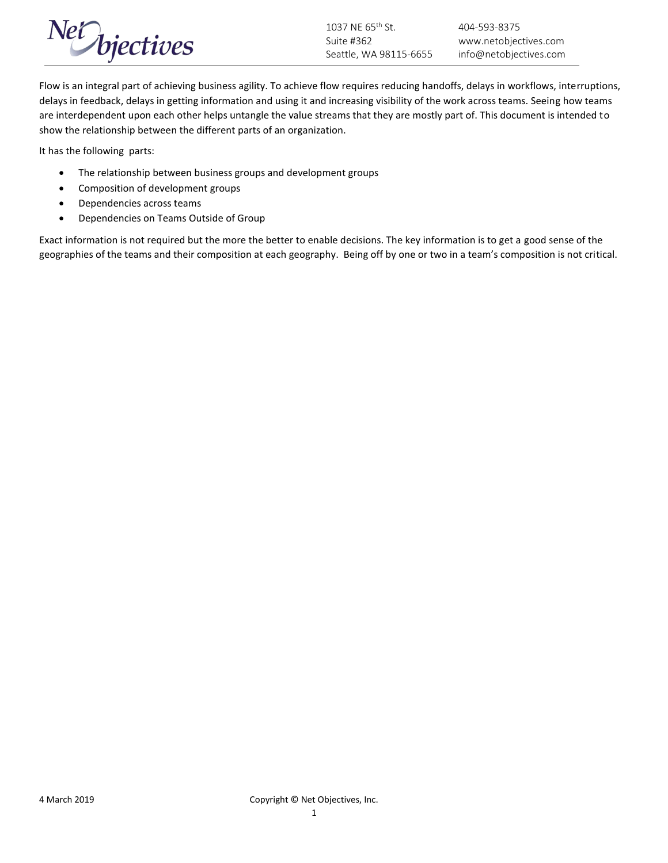

Flow is an integral part of achieving business agility. To achieve flow requires reducing handoffs, delays in workflows, interruptions, delays in feedback, delays in getting information and using it and increasing visibility of the work across teams. Seeing how teams are interdependent upon each other helps untangle the value streams that they are mostly part of. This document is intended to show the relationship between the different parts of an organization.

It has the following parts:

- The relationship between business groups and development groups
- Composition of development groups
- Dependencies across teams
- Dependencies on Teams Outside of Group

Exact information is not required but the more the better to enable decisions. The key information is to get a good sense of the geographies of the teams and their composition at each geography. Being off by one or two in a team's composition is not critical.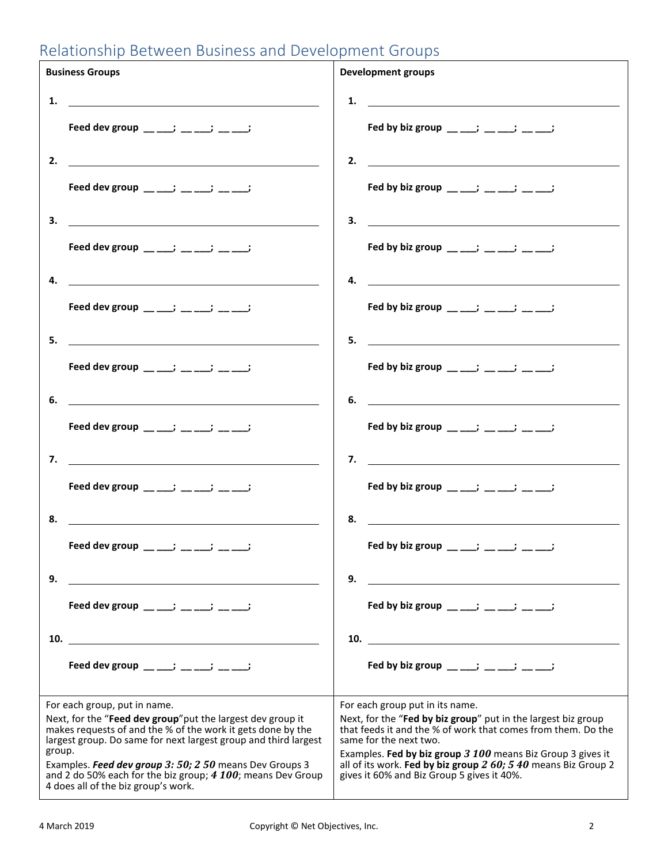# Relationship Between Business and Development Groups

| <b>Business Groups</b>                                                                                                                                                                        |                                                                                                                                                                                                                                      | <b>Development groups</b> |                                                                                                                                                                                                                                                                                            |  |
|-----------------------------------------------------------------------------------------------------------------------------------------------------------------------------------------------|--------------------------------------------------------------------------------------------------------------------------------------------------------------------------------------------------------------------------------------|---------------------------|--------------------------------------------------------------------------------------------------------------------------------------------------------------------------------------------------------------------------------------------------------------------------------------------|--|
| 1.                                                                                                                                                                                            |                                                                                                                                                                                                                                      | 1.                        | <u> 1989 - Johann Stoff, Amerikaansk politiker (</u>                                                                                                                                                                                                                                       |  |
|                                                                                                                                                                                               | Feed dev group __ __; __ __; __ __;                                                                                                                                                                                                  |                           | Fed by biz group $\frac{1}{2}$ $\frac{1}{2}$ $\frac{1}{2}$ $\frac{1}{2}$ $\frac{1}{2}$                                                                                                                                                                                                     |  |
| 2.                                                                                                                                                                                            | <u>and the contract of the contract of the contract of the contract of the contract of the contract of the contract of the contract of the contract of the contract of the contract of the contract of the contract of the contr</u> |                           | 2. $\qquad \qquad$                                                                                                                                                                                                                                                                         |  |
|                                                                                                                                                                                               | Feed dev group __ __; __ __; __ __;                                                                                                                                                                                                  |                           | Fed by biz group ____; ___; ___;                                                                                                                                                                                                                                                           |  |
| 3.                                                                                                                                                                                            |                                                                                                                                                                                                                                      |                           | $\overline{\mathbf{3.}}$ $\overline{\mathbf{1.}}$                                                                                                                                                                                                                                          |  |
|                                                                                                                                                                                               | Feed dev group __ __; __ __; __ __;                                                                                                                                                                                                  |                           | Fed by biz group $\frac{1}{2}$ $\frac{1}{2}$ $\frac{1}{2}$ $\frac{1}{2}$ $\frac{1}{2}$                                                                                                                                                                                                     |  |
| 4.                                                                                                                                                                                            |                                                                                                                                                                                                                                      | 4.                        |                                                                                                                                                                                                                                                                                            |  |
|                                                                                                                                                                                               | Feed dev group $\frac{1}{2}$ = $\frac{1}{2}$ = $\frac{1}{2}$ = $\frac{1}{2}$                                                                                                                                                         |                           | Fed by biz group $\frac{1}{2}$ $\frac{1}{2}$ $\frac{1}{2}$ $\frac{1}{2}$ $\frac{1}{2}$                                                                                                                                                                                                     |  |
| 5.                                                                                                                                                                                            |                                                                                                                                                                                                                                      | 5.                        | <u> 1989 - Johann Barnett, fransk politik (d. 1989)</u>                                                                                                                                                                                                                                    |  |
|                                                                                                                                                                                               | Feed dev group $\frac{1}{2}$ $\frac{1}{2}$ $\frac{1}{2}$ $\frac{1}{2}$ $\frac{1}{2}$                                                                                                                                                 |                           | Fed by biz group $\frac{1}{2}$ = $\frac{1}{2}$ = $\frac{1}{2}$ = $\frac{1}{2}$                                                                                                                                                                                                             |  |
| 6.                                                                                                                                                                                            |                                                                                                                                                                                                                                      | 6.                        | <u> 1989 - Johann Harry Harry Harry Harry Harry Harry Harry Harry Harry Harry Harry Harry Harry Harry Harry Harry</u>                                                                                                                                                                      |  |
|                                                                                                                                                                                               | Feed dev group $\frac{1}{2}$ $\frac{1}{2}$ $\frac{1}{2}$ $\frac{1}{2}$ $\frac{1}{2}$ $\frac{1}{2}$                                                                                                                                   |                           | Fed by biz group $\frac{1}{2}$ $\frac{1}{2}$ $\frac{1}{2}$ $\frac{1}{2}$ $\frac{1}{2}$                                                                                                                                                                                                     |  |
|                                                                                                                                                                                               |                                                                                                                                                                                                                                      |                           | 7. $\qquad \qquad$                                                                                                                                                                                                                                                                         |  |
|                                                                                                                                                                                               | Feed dev group __ __; __ __; __ __;                                                                                                                                                                                                  |                           | Fed by biz group $\frac{1}{2}$ $\frac{1}{2}$ $\frac{1}{2}$ $\frac{1}{2}$ $\frac{1}{2}$                                                                                                                                                                                                     |  |
| 8.                                                                                                                                                                                            | <u> 1989 - Johann Barbara, martxa alemaniar amerikan a</u>                                                                                                                                                                           | 8.                        | <u> 1989 - Johann Stoff, deutscher Stoffen und der Stoffen und der Stoffen und der Stoffen und der Stoffen und der</u>                                                                                                                                                                     |  |
|                                                                                                                                                                                               | Feed dev group __ ___; __ ___; __ ___;                                                                                                                                                                                               |                           | Fed by biz group $\frac{1}{2}$ and $\frac{1}{2}$ and $\frac{1}{2}$ and $\frac{1}{2}$ and $\frac{1}{2}$ and $\frac{1}{2}$ and $\frac{1}{2}$ and $\frac{1}{2}$ and $\frac{1}{2}$ and $\frac{1}{2}$ and $\frac{1}{2}$ and $\frac{1}{2}$ and $\frac{1}{2}$ and $\frac{1}{2}$ and $\frac{1}{2}$ |  |
| 9.                                                                                                                                                                                            |                                                                                                                                                                                                                                      | 9.                        |                                                                                                                                                                                                                                                                                            |  |
|                                                                                                                                                                                               | Feed dev group $\frac{1}{2}$ = $\frac{1}{2}$ = $\frac{1}{2}$ = $\frac{1}{2}$                                                                                                                                                         |                           | Fed by biz group ____; ___; __; ___;                                                                                                                                                                                                                                                       |  |
| 10.                                                                                                                                                                                           | <u> 1989 - Johann Barbara, martin amerikan basal da</u>                                                                                                                                                                              |                           | 10.                                                                                                                                                                                                                                                                                        |  |
|                                                                                                                                                                                               | Feed dev group $\frac{1}{2}$ $\frac{1}{2}$ $\frac{1}{2}$ $\frac{1}{2}$ $\frac{1}{2}$ $\frac{1}{2}$                                                                                                                                   |                           | Fed by biz group $\frac{1}{2}$ $\frac{1}{2}$ $\frac{1}{2}$ $\frac{1}{2}$ $\frac{1}{2}$                                                                                                                                                                                                     |  |
| For each group, put in name.                                                                                                                                                                  |                                                                                                                                                                                                                                      |                           | For each group put in its name.                                                                                                                                                                                                                                                            |  |
| Next, for the "Feed dev group" put the largest dev group it<br>makes requests of and the % of the work it gets done by the<br>largest group. Do same for next largest group and third largest |                                                                                                                                                                                                                                      |                           | Next, for the "Fed by biz group" put in the largest biz group<br>that feeds it and the % of work that comes from them. Do the<br>same for the next two.                                                                                                                                    |  |
| group.<br>Examples. Feed dev group 3: 50; 2 50 means Dev Groups 3<br>and 2 do 50% each for the biz group; 4 100; means Dev Group<br>4 does all of the biz group's work.                       |                                                                                                                                                                                                                                      |                           | Examples. Fed by biz group 3 100 means Biz Group 3 gives it<br>all of its work. Fed by biz group 2 60; 5 40 means Biz Group 2<br>gives it 60% and Biz Group 5 gives it 40%.                                                                                                                |  |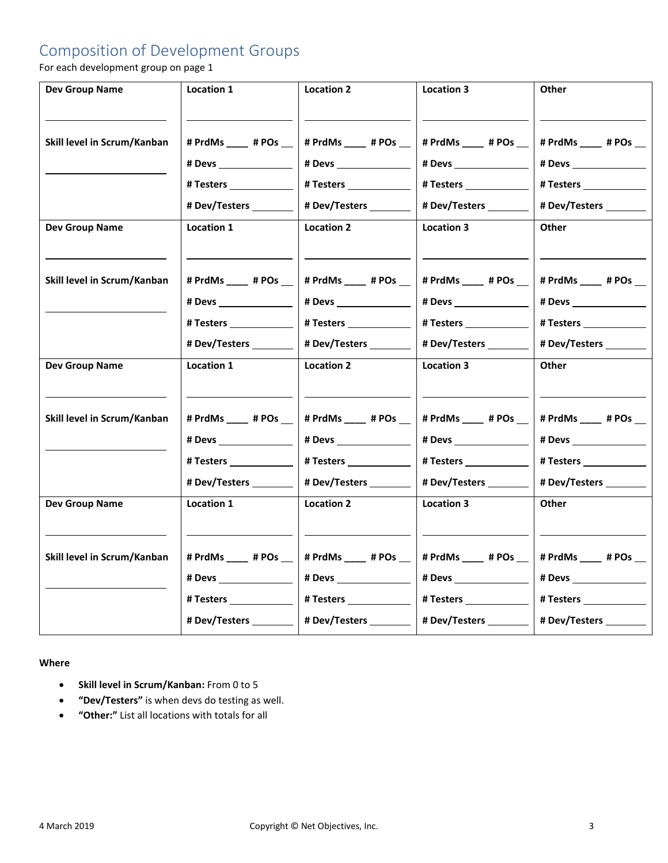## Composition of Development Groups

For each development group on page 1

| <b>Dev Group Name</b>       | Location 1               | <b>Location 2</b>                               | <b>Location 3</b>        | Other                   |
|-----------------------------|--------------------------|-------------------------------------------------|--------------------------|-------------------------|
|                             |                          |                                                 |                          |                         |
| Skill level in Scrum/Kanban | # PrdMs ____ # POs __    | # PrdMs ____ # POs __                           | # PrdMs ____ # POs __    | # PrdMs ____ # POs __   |
|                             |                          |                                                 |                          | # Devs _______________  |
|                             | # Testers ______________ | #Testers                                        | #Testers                 | # Testers _____________ |
|                             | # Dev/Testers ________   | # Dev/Testers _________                         | #Dev/Testers             | # Dev/Testers ________  |
| <b>Dev Group Name</b>       | Location 1               | <b>Location 2</b>                               | <b>Location 3</b>        | Other                   |
|                             |                          |                                                 |                          |                         |
| Skill level in Scrum/Kanban | # PrdMs ____ # POs __    | # PrdMs ____ # POs __                           | # PrdMs _____ # POs __   | # PrdMs _____ # POs __  |
|                             |                          |                                                 |                          | # Devs ________________ |
|                             | #Testers _____________   | # Testers ______________                        | # Testers ______________ | #Testers ______________ |
|                             | # Dev/Testers ________   | # Dev/Testers _________                         | #Dev/Testers ________    | # Dev/Testers ________  |
| <b>Dev Group Name</b>       | Location 1               | <b>Location 2</b>                               | <b>Location 3</b>        | Other                   |
|                             |                          |                                                 |                          |                         |
| Skill level in Scrum/Kanban | # PrdMs ____ # POs __    | # PrdMs ____ # POs __                           | # PrdMs ____ # POs __    | # PrdMs ____ # POs __   |
|                             |                          |                                                 |                          |                         |
|                             | # Testers ______________ | #Testers                                        |                          | #Testers                |
|                             | # Dev/Testers ________   | # Dev/Testers ________                          | #Dev/Testers ________    | # Dev/Testers ________  |
| <b>Dev Group Name</b>       | Location 1               | <b>Location 2</b>                               | <b>Location 3</b>        | <b>Other</b>            |
|                             |                          |                                                 |                          |                         |
| Skill level in Scrum/Kanban | # PrdMs ____ # POs __    | # PrdMs ____ # POs __                           | # PrdMs ____ # POs __    | # PrdMs ____ # POs __   |
|                             | # Devs ________________  |                                                 |                          | # Devs _______________  |
|                             | # Testers _____________  | # Testers _______________                       | #Testers _____________   | #Testers _____________  |
|                             |                          | # Dev/Testers   # Dev/Testers     # Dev/Testers | # Dev/Testers _________  | # Dev/Testers           |
|                             |                          |                                                 |                          |                         |

#### **Where**

- **Skill level in Scrum/Kanban:** From 0 to 5
- **"Dev/Testers"** is when devs do testing as well.
- **"Other:"** List all locations with totals for all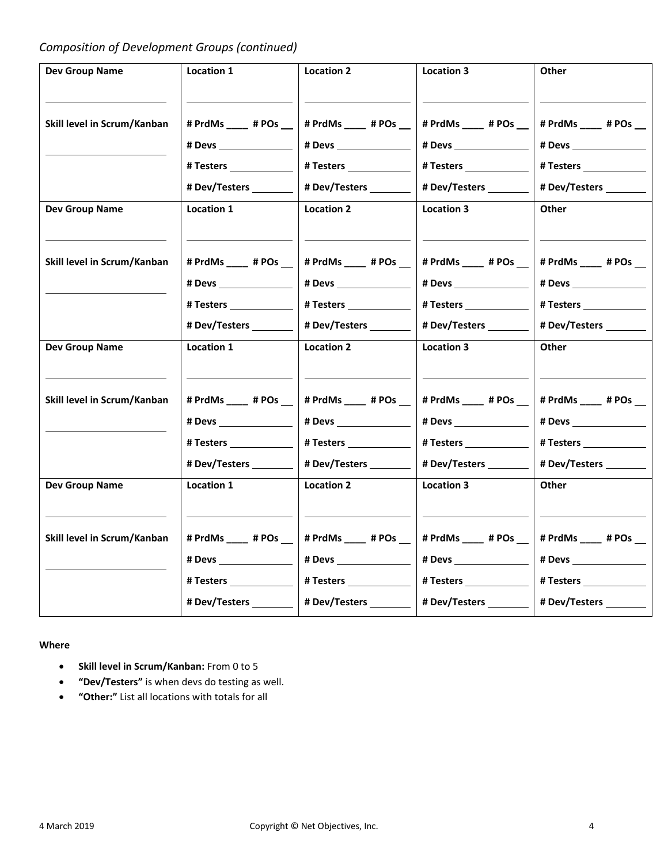## *Composition of Development Groups (continued)*

| <b>Dev Group Name</b>       | Location 1              | <b>Location 2</b>                                 | Location 3                                          | Other                    |
|-----------------------------|-------------------------|---------------------------------------------------|-----------------------------------------------------|--------------------------|
|                             |                         |                                                   |                                                     |                          |
| Skill level in Scrum/Kanban | # PrdMs ____ # POs __   | # PrdMs ____ # POs __                             | # PrdMs ____ # POs __                               | # PrdMs ____ # POs __    |
|                             |                         |                                                   |                                                     |                          |
|                             |                         |                                                   |                                                     | # Testers                |
|                             | # Dev/Testers           | # Dev/Testers ________                            | # Dev/Testers ________                              | # Dev/Testers            |
| <b>Dev Group Name</b>       | Location 1              | <b>Location 2</b>                                 | <b>Location 3</b>                                   | Other                    |
|                             |                         |                                                   |                                                     |                          |
| Skill level in Scrum/Kanban | # PrdMs ____ # POs __   | # PrdMs ____ # POs __                             | # PrdMs ____ # POs __                               | # PrdMs ____ # POs __    |
|                             |                         |                                                   |                                                     | # Devs ________________  |
|                             | # Testers _____________ |                                                   |                                                     |                          |
|                             |                         | # Dev/Testers ________                            | # Dev/Testers ________                              | # Dev/Testers ________   |
| <b>Dev Group Name</b>       | Location 1              | <b>Location 2</b>                                 | <b>Location 3</b>                                   | Other                    |
|                             |                         |                                                   |                                                     |                          |
| Skill level in Scrum/Kanban | # PrdMs ____ # POs __   | # PrdMs ____ # POs __                             | # PrdMs ____ # POs __                               | # PrdMs ____ # POs __    |
|                             |                         |                                                   |                                                     | # Devs ________________  |
|                             |                         |                                                   |                                                     |                          |
|                             |                         | # Dev/Testers ________                            | # Dev/Testers ________                              | #Dev/Testers             |
| <b>Dev Group Name</b>       | Location 1              | <b>Location 2</b>                                 | <b>Location 3</b>                                   | <b>Other</b>             |
|                             |                         |                                                   |                                                     |                          |
| Skill level in Scrum/Kanban | # PrdMs ____ # POs __   | # PrdMs ____ # POs __                             | # PrdMs ____ # POs __                               | # PrdMs ____ # POs __    |
|                             |                         |                                                   |                                                     |                          |
|                             | # Testers _____________ | # Testers ______________                          | #Testers _____________                              | # Testers ______________ |
|                             |                         | # Dev/Testers _________   # Dev/Testers _________ | # Dev/Testers __________   # Dev/Testers __________ |                          |

#### **Where**

- **Skill level in Scrum/Kanban:** From 0 to 5
- **"Dev/Testers"** is when devs do testing as well.
- **"Other:"** List all locations with totals for all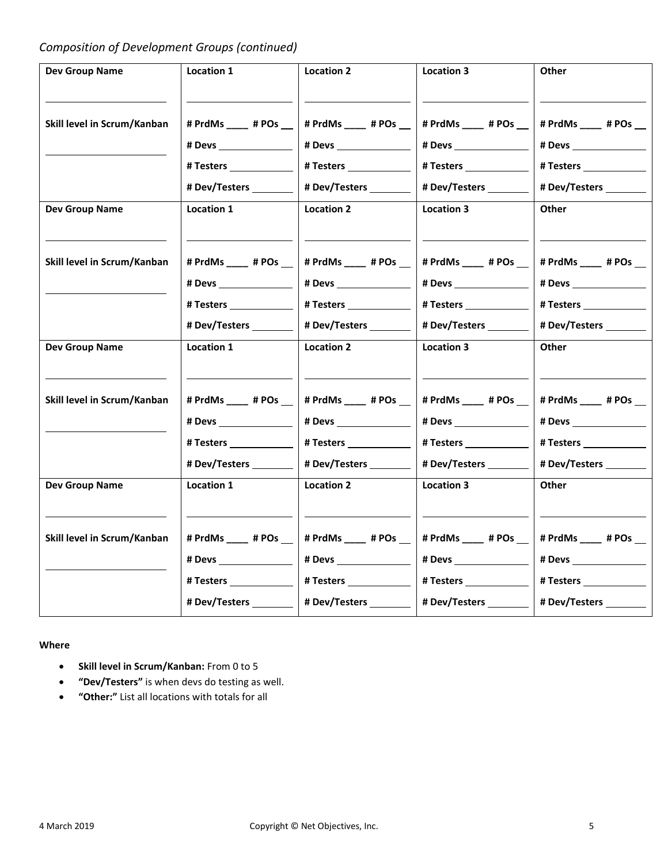## *Composition of Development Groups (continued)*

| <b>Dev Group Name</b>       | Location 1               | <b>Location 2</b>                                 | Location 3                                          | Other                     |
|-----------------------------|--------------------------|---------------------------------------------------|-----------------------------------------------------|---------------------------|
|                             |                          |                                                   |                                                     |                           |
| Skill level in Scrum/Kanban | # PrdMs ____ # POs __    | # PrdMs # POs                                     | # PrdMs ____ # POs __                               | # PrdMs ____ # POs __     |
|                             |                          |                                                   |                                                     |                           |
|                             | # Testers _____________  |                                                   | #Testers                                            | # Testers _______________ |
|                             | # Dev/Testers ________   |                                                   | # Dev/Testers _________                             | # Dev/Testers ________    |
| <b>Dev Group Name</b>       | Location 1               | <b>Location 2</b>                                 | <b>Location 3</b>                                   | Other                     |
|                             |                          |                                                   |                                                     |                           |
| Skill level in Scrum/Kanban | # PrdMs ____ # POs __    | # PrdMs ____ # POs __                             | # PrdMs ____ # POs __                               | # PrdMs ____ # POs __     |
|                             |                          |                                                   |                                                     | # Devs ________________   |
|                             | # Testers ______________ |                                                   | # Testers ______________                            | #Testers                  |
|                             |                          | # Dev/Testers ________                            | # Dev/Testers _________                             | # Dev/Testers ________    |
| <b>Dev Group Name</b>       | Location 1               | <b>Location 2</b>                                 | <b>Location 3</b>                                   | Other                     |
|                             |                          |                                                   |                                                     |                           |
| Skill level in Scrum/Kanban | # PrdMs ____ # POs __    | # PrdMs ____ # POs __                             | # PrdMs ____ # POs __                               | # PrdMs ____ # POs __     |
|                             |                          |                                                   |                                                     |                           |
|                             | #Testers _____________   |                                                   |                                                     |                           |
|                             | # Dev/Testers            | # Dev/Testers ________                            | # Dev/Testers ________                              | # Dev/Testers             |
| <b>Dev Group Name</b>       | Location 1               | <b>Location 2</b>                                 | <b>Location 3</b>                                   | <b>Other</b>              |
|                             |                          |                                                   |                                                     |                           |
| Skill level in Scrum/Kanban | # PrdMs ____ # POs __    | # PrdMs ____ # POs __                             | # PrdMs ____ # POs __                               | # PrdMs ____ # POs __     |
|                             |                          |                                                   |                                                     |                           |
|                             | # Testers _____________  | # Testers ______________                          | #Testers _____________                              | # Testers ______________  |
|                             |                          | # Dev/Testers _________   # Dev/Testers _________ | # Dev/Testers __________   # Dev/Testers __________ |                           |
|                             |                          |                                                   |                                                     |                           |

#### **Where**

- **Skill level in Scrum/Kanban:** From 0 to 5
- **"Dev/Testers"** is when devs do testing as well.
- **"Other:"** List all locations with totals for all